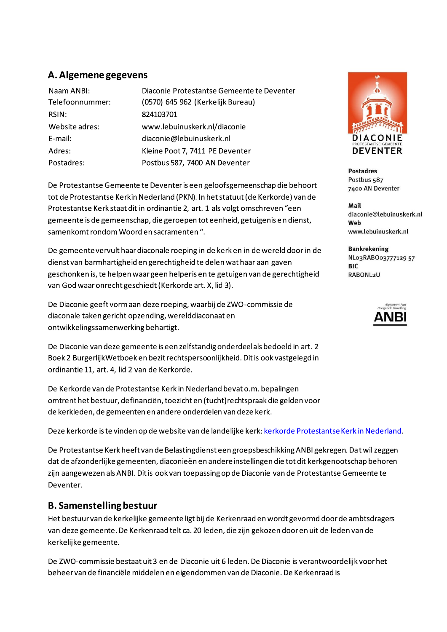#### A. Algemene gegevens

| Naam ANBI:      | Diaconie Protestantse Gemeente te Deventer |
|-----------------|--------------------------------------------|
| Telefoonnummer: | (0570) 645 962 (Kerkelijk Bureau)          |
| RSIN:           | 824103701                                  |
| Website adres:  | www.lebuinuskerk.nl/diaconie               |
| E-mail:         | diaconie@lebuinuskerk.nl                   |
| Adres:          | Kleine Poot 7, 7411 PE Deventer            |
| Postadres:      | Postbus 587, 7400 AN Deventer              |
|                 |                                            |

De Protestantse Gemeente te Deventer is een geloofsgemeenschap die behoort tot de Protestantse Kerkin Nederland (PKN). In het statuut (de Kerkorde) van de Protestantse Kerk staat dit in ordinantie 2, art. 1 als volgt omschreven "een gemeente is de gemeenschap, die geroepen tot eenheid, getuigenis en dienst, samenkomt rondom Woord en sacramenten ".

De gemeente vervult haar diaconale roeping in de kerk en in de wereld door in de dienst van barmhartigheid en gerechtigheid te delen wat haar aan gaven geschonken is, te helpen waar geen helperis en te getuigen van de gerechtigheid van God waar onrecht geschiedt (Kerkorde art. X, lid 3).

De Diaconie geeft vorm aan deze roeping, waarbij de ZWO-commissie de diaconale taken gericht opzending, werelddiaconaat en ontwikkelingssamenwerking behartigt.

De Diaconie van deze gemeente is een zelfstandig onderdeel als bedoeld in art. 2 Boek 2 Burgerlijk Wetboek en bezit rechtspersoonlijkheid. Dit is ook vastgelegd in ordinantie 11, art. 4, lid 2 van de Kerkorde.

De Kerkorde van de Protestantse Kerk in Nederland bevat o.m. bepalingen omtrent het bestuur, definanciën, toezicht en (tucht) rechtspraak die gelden voor de kerkleden, de gemeenten en andere onderdelen van deze kerk.

Deze kerkorde is te vinden op de website van de landelijke kerk: kerkorde Protestantse Kerk in Nederland.

De Protestantse Kerk heeft van de Belastingdienst een groepsbeschikking ANBI gekregen. Dat wil zeggen dat de afzonderlijke gemeenten, diaconieën en andere instellingen die tot dit kerkgenootschap behoren zijn aangewezen als ANBI. Dit is ook van toepassing op de Diaconie van de Protestantse Gemeente te Deventer.

#### **B. Samenstelling bestuur**

Het bestuur van de kerkelijke gemeente ligt bij de Kerkenraad en wordt gevormd door de ambtsdragers van deze gemeente. De Kerkenraad telt ca. 20 leden, die zijn gekozen door en uit de leden van de kerkelijke gemeente.

De ZWO-commissie bestaat uit 3 en de Diaconie uit 6 leden. De Diaconie is verantwoordelijk voor het beheer van de financiële middelen en eigendommen van de Diaconie. De Kerkenraad is



**Postadres** Postbus 587 7400 AN Deventer

Mail diaconie@lebuinuskerk.nl Web www.lebuinuskerk.nl

**Bankrekening** NLo3RABOo3777129 57 **BIC RABONL2U** 

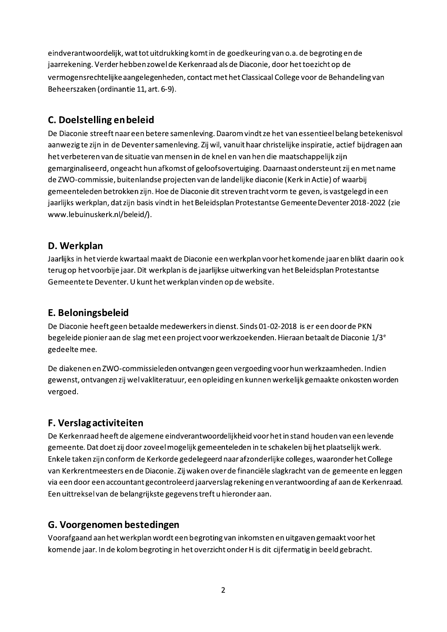eindverantwoordelijk, wat tot uitdrukking komt in de goedkeuring van o.a. de begroting en de jaarrekening. Verder hebben zowel de Kerkenraad als de Diaconie, door het toezicht op de vermogensrechtelijke aangelegenheden, contact met het Classicaal College voor de Behandeling van Beheerszaken (ordinantie 11, art. 6-9).

#### C. Doelstelling en beleid

De Diaconie streeft naar een betere samenleving. Daarom vindt ze het van essentieel belang betekenisvol aanwezig te zijn in de Deventer samenleving. Zij wil, vanuit haar christelijke inspiratie, actief bijdragen aan het verbeteren van de situatie van mensen in de knel en van hen die maatschappelijk zijn gemarginaliseerd, ongeacht hun afkomst of geloofsovertuiging. Daarnaast ondersteunt zij en met name de ZWO-commissie, buitenlandse projecten van de landelijke diaconie (Kerk in Actie) of waarbij gemeenteleden betrokken zijn. Hoe de Diaconie dit streven tracht vorm te geven, is vastgelegd in een jaarlijks werkplan, dat zijn basis vindt in het Beleidsplan Protestantse Gemeente Deventer 2018-2022 (zie www.lebuinuskerk.nl/beleid/).

#### D. Werkplan

Jaarlijks in het vierde kwartaal maakt de Diaconie een werkplan voor het komende jaar en blikt daarin oo k terug op het voorbije jaar. Dit werkplan is de jaarlijkse uitwerking van het Beleidsplan Protestantse Gemeentete Deventer. U kunt het werkplan vinden op de website.

### E. Beloningsbeleid

De Diaconie heeft geen betaalde medewerkers in dienst. Sinds 01-02-2018 is er een door de PKN begeleide pionier aan de slag met een project voor werkzoekenden. Hieraan betaalt de Diaconie 1/3<sup>e</sup> gedeelte mee.

De diakenen en ZWO-commissieleden ontvangen geen vergoeding voor hun werkzaamheden. Indien gewenst, ontvangen zij wel vakliteratuur, een opleiding en kunnen werkelijk gemaakte onkosten worden vergoed.

## **F. Verslagactiviteiten**

De Kerkenraad heeft de algemene eindverantwoordelijkheid voor het in stand houden van een levende gemeente. Dat doet zij door zoveel mogelijk gemeenteleden in te schakelen bij het plaatselijk werk. Enkele taken zijn conform de Kerkorde gedelegeerd naar afzonderlijke colleges, waaronder het College van Kerkrentmeesters en de Diaconie. Zij waken over de financiële slagkracht van de gemeente en leggen via een door een accountant gecontroleerd jaarverslag rekening en verantwoording af aan de Kerkenraad. Een uittreksel van de belangrijkste gegevens treft u hieronder aan.

## G. Voorgenomen bestedingen

Voorafgaand aan het werkplan wordt een begroting van inkomsten en uitgaven gemaakt voor het komende jaar. In de kolom begroting in het overzicht onder H is dit cijfermatig in beeld gebracht.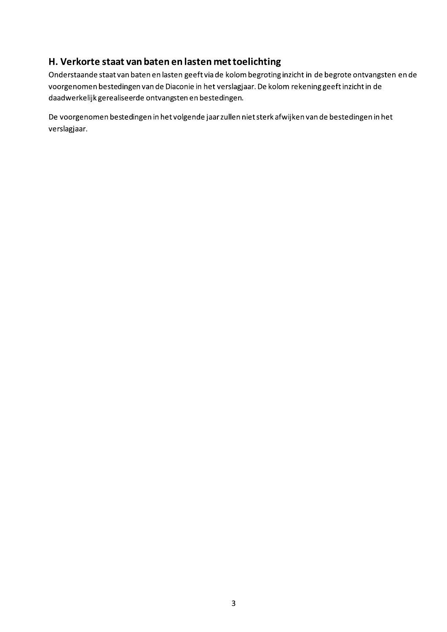## H. Verkorte staat van baten en lasten met toelichting

Onderstaande staat van baten en lasten geeft via de kolom begroting inzicht in de begrote ontvangsten en de voorgenomen bestedingen van de Diaconie in het verslagjaar. De kolom rekening geeft inzicht in de daadwerkelijk gerealiseerde ontvangsten en bestedingen.

De voorgenomen bestedingen in het volgende jaar zullen niet sterk afwijken van de bestedingen in het verslagjaar.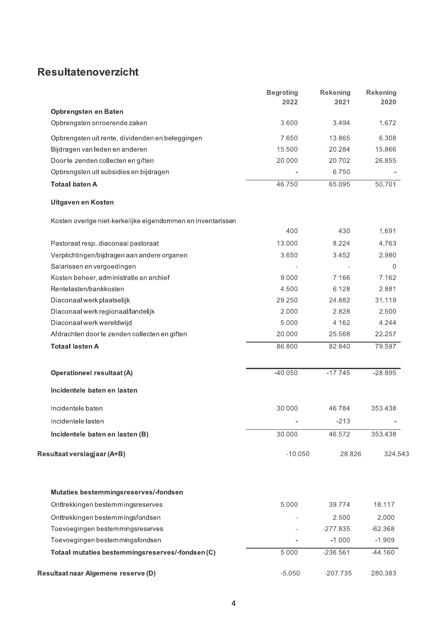# Resultatenoverzicht

|                                                             | <b>Begroting</b><br>2022 | <b>Rekening</b><br>2021 | <b>Rekening</b><br>2020 |
|-------------------------------------------------------------|--------------------------|-------------------------|-------------------------|
| Opbrengsten en Baten                                        |                          |                         |                         |
| Opbrengsten onroerende zaken                                | 3.600                    | 3.494                   | 1.672                   |
| Opbrengsten uit rente, dividenden en beleggingen            | 7.650                    | 13.865                  | 6.308                   |
| Bijdragen van leden en anderen                              | 15.500                   | 20.284                  | 15.866                  |
| Door te zenden collecten en giften                          | 20.000                   | 20.702                  | 26.855                  |
| Opbrengsten uit subsidies en bijdragen                      |                          | 6.750                   |                         |
| <b>Totaal baten A</b>                                       | 46.750                   | 65.095                  | 50.701                  |
| Uitgaven en Kosten                                          |                          |                         |                         |
| Kosten overige niet-kerkelijke eigendommen en inventarissen |                          |                         |                         |
|                                                             | 400                      | 430                     | 1.691                   |
| Pastoraat resp. diaconaal pastoraat                         | 13.000                   | 8.224                   | 4.763                   |
| Verplichtingen/bijdragen aan andere organen                 | 3.650                    | 3.452                   | 2.980                   |
| Salarissen en vergoedingen                                  |                          |                         | 0                       |
| Kosten beheer, administratie en archief                     | 9.000                    | 7.166                   | 7.162                   |
| Rentelasten/bankkosten                                      | 4.500                    | 6.128                   | 2.881                   |
| Diaconaal werk plaatselijk                                  | 29.250                   | 24.882                  | 31.119                  |
| Diaconaal werk regionaal/landelijk                          | 2.000                    | 2.828                   | 2.500                   |
| Diaconaal werk wereldwijd                                   | 5.000                    | 4.162                   | 4.244                   |
| Afdrachten door te zenden collecten en giften               | 20.000                   | 25.568                  | 22.257                  |
| <b>Totaal lasten A</b>                                      | 86.800                   | 82.840                  | 79.597                  |
| <b>Operationeel resultaat (A)</b>                           | $-40.050$                | $-17.745$               | $-28.895$               |
| Incidentele baten en lasten                                 |                          |                         |                         |
| Incidentele baten                                           | 30.000                   | 46.784                  | 353.438                 |
| Incidentele lasten                                          |                          | $-213$                  |                         |
| Incidentele baten en lasten (B)                             | 30.000                   | 46.572                  | 353.438                 |
| Resultaat verslagjaar (A+B)                                 | $-10.050$                | 28.826                  | 324.543                 |
| Mutaties bestemmingsreserves/-fondsen                       |                          |                         |                         |
| Onttrekkingen bestemmingsreserves                           | 5.000                    | 39.774                  | 18.117                  |
| Onttrekkingen bestemmingsfondsen                            |                          | 2.500                   | 2.000                   |
| Toevoegingen bestemmingsreserves                            |                          | $-277.835$              | $-62.368$               |
| Toevoegingen bestemmingsfondsen                             |                          | $-1.000$                | $-1.909$                |
| Totaal mutaties bestemmingsreserves/-fondsen(C)             | 5.000                    | $-236.561$              | $-44.160$               |
| Resultaat naar Algemene reserve (D)                         | $-5.050$                 | $-207.735$              | 280.383                 |